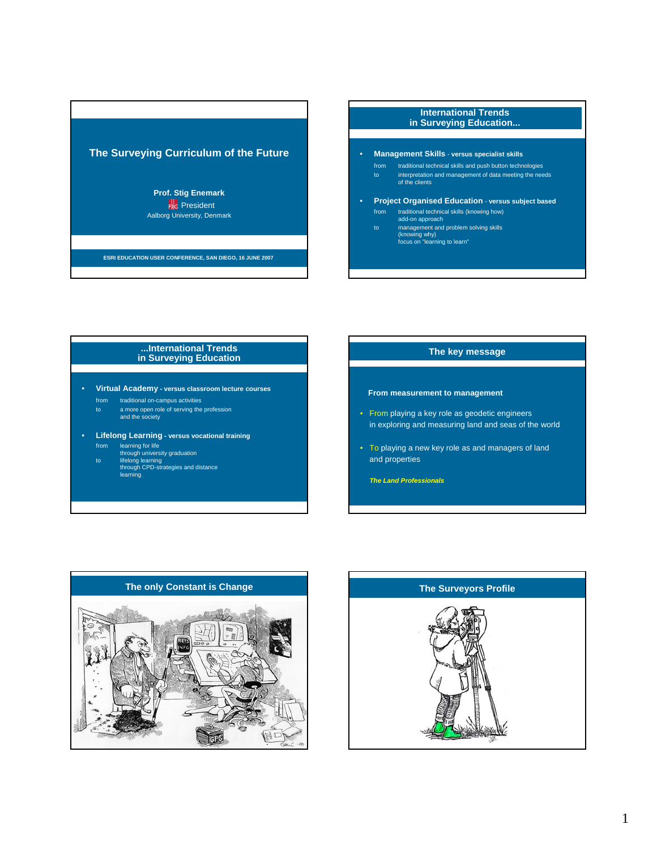## **The Surveying Curriculum of the Future**

#### **Prof. Stig Enemark F**<sub>G</sub> President Aalborg University, Denmark

**ESRI EDUCATION USER CONFERENCE, SAN DIEGO, 16 JUNE 2007** 

### **International Trends in Surveying Education...**

- **Management Skills versus specialist skills**
	- from traditional technical skills and push button technologies to interpretation and management of data meeting the needs of the clients
- **Project Organised Education versus subject based** from traditional technical skills (knowing how) add-on approach
	-
	- to management and problem solving skills (knowing why) focus on "learning to learn"

#### **...International Trends in Surveying Education**

• **Virtual Academy - versus classroom lecture courses**

- from traditional on-campus activities
- to a more open role of serving the profession and the society
- 
- **Lifelong Learning versus vocational training** from learning for life through university graduation
	-
	- to lifelong learning through CPD-strategies and distance learning

#### **The key message**

#### **From measurement to management**

- From playing a key role as geodetic engineers in exploring and measuring land and seas of the world
- To playing a new key role as and managers of land and properties

*The Land Professionals*



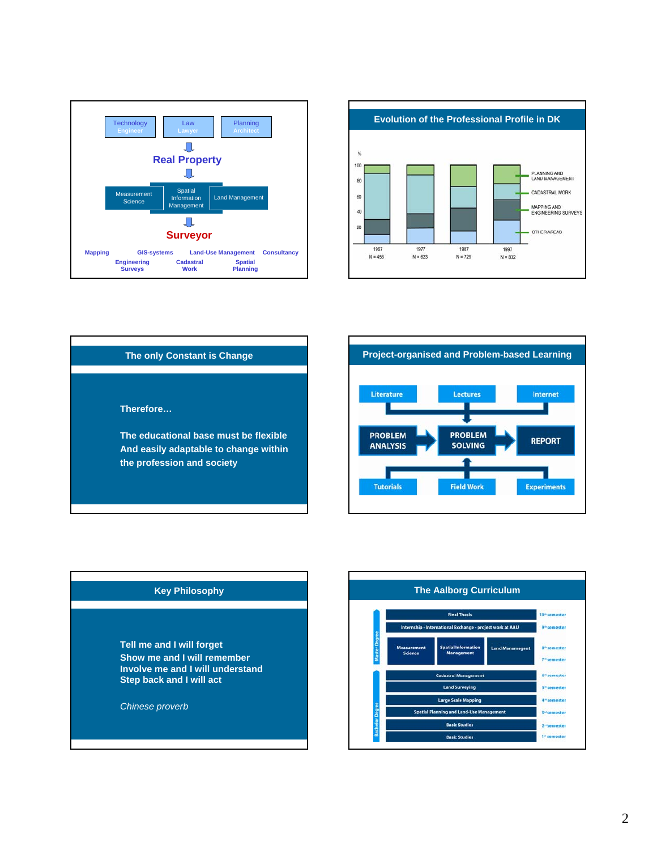



# **The only Constant is Change Therefore… The educational base must be flexible And easily adaptable to change within the profession and society**





**Tell me and I will forget Show me and I will remember Involve me and I will understand Step back and I will act**

*Chinese proverb*